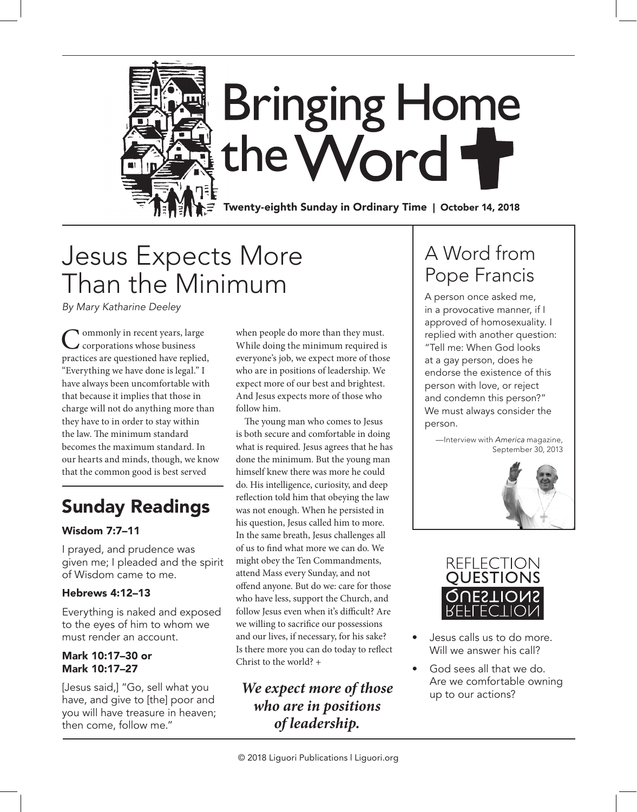

# Jesus Expects More Than the Minimum

*By Mary Katharine Deeley*

**Commonly in recent years, large** corporations whose business practices are questioned have replied, "Everything we have done is legal." I have always been uncomfortable with that because it implies that those in charge will not do anything more than they have to in order to stay within the law. The minimum standard becomes the maximum standard. In our hearts and minds, though, we know that the common good is best served

# Sunday Readings

## Wisdom 7:7–11

I prayed, and prudence was given me; I pleaded and the spirit of Wisdom came to me.

## Hebrews 4:12–13

Everything is naked and exposed to the eyes of him to whom we must render an account.

#### Mark 10:17–30 or Mark 10:17–27

[Jesus said,] "Go, sell what you have, and give to [the] poor and you will have treasure in heaven; then come, follow me."

when people do more than they must. While doing the minimum required is everyone's job, we expect more of those who are in positions of leadership. We expect more of our best and brightest. And Jesus expects more of those who follow him.

The young man who comes to Jesus is both secure and comfortable in doing what is required. Jesus agrees that he has done the minimum. But the young man himself knew there was more he could do. His intelligence, curiosity, and deep reflection told him that obeying the law was not enough. When he persisted in his question, Jesus called him to more. In the same breath, Jesus challenges all of us to find what more we can do. We might obey the Ten Commandments, attend Mass every Sunday, and not offend anyone. But do we: care for those who have less, support the Church, and follow Jesus even when it's difficult? Are we willing to sacrifice our possessions and our lives, if necessary, for his sake? Is there more you can do today to reflect Christ to the world? +

*We expect more of those who are in positions of leadership.* 

# A Word from Pope Francis

A person once asked me, in a provocative manner, if I approved of homosexuality. I replied with another question: "Tell me: When God looks at a gay person, does he endorse the existence of this person with love, or reject and condemn this person?" We must always consider the person.

—Interview with *America* magazine, September 30, 2013





- Jesus calls us to do more. Will we answer his call?
- God sees all that we do. Are we comfortable owning up to our actions?